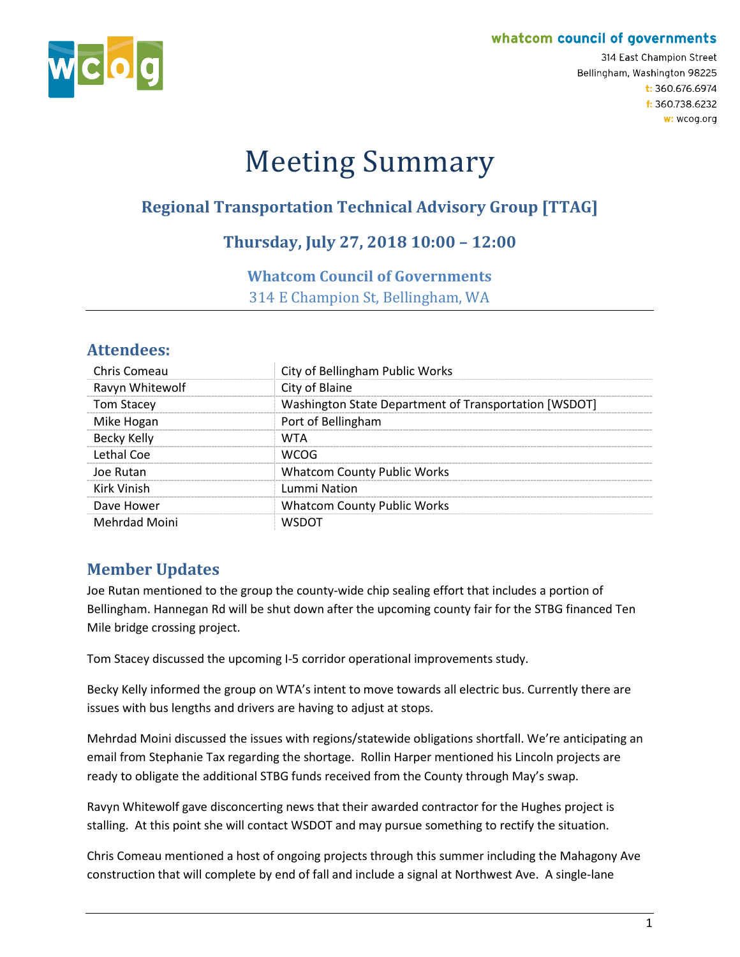#### whatcom council of governments



314 East Champion Street Bellingham, Washington 98225 t: 360.676.6974 f: 360.738.6232 w: wcog.org

# Meeting Summary

## **Regional Transportation Technical Advisory Group [TTAG]**

## **Thursday, July 27, 2018 10:00 – 12:00**

#### **Whatcom Council of Governments**

314 E Champion St, Bellingham, WA

## **Attendees:**

| Chris Comeau       | City of Bellingham Public Works                       |
|--------------------|-------------------------------------------------------|
| Ravyn Whitewolf    | City of Blaine                                        |
| <b>Tom Stacey</b>  | Washington State Department of Transportation [WSDOT] |
| Mike Hogan         | Port of Bellingham                                    |
| <b>Becky Kelly</b> | WTA                                                   |
| Lethal Coe         | WCOG                                                  |
| Joe Rutan          | <b>Whatcom County Public Works</b>                    |
| Kirk Vinish        | Lummi Nation                                          |
| Dave Hower         | <b>Whatcom County Public Works</b>                    |
| Mehrdad Moini      |                                                       |

## **Member Updates**

Joe Rutan mentioned to the group the county-wide chip sealing effort that includes a portion of Bellingham. Hannegan Rd will be shut down after the upcoming county fair for the STBG financed Ten Mile bridge crossing project.

Tom Stacey discussed the upcoming I-5 corridor operational improvements study.

Becky Kelly informed the group on WTA's intent to move towards all electric bus. Currently there are issues with bus lengths and drivers are having to adjust at stops.

Mehrdad Moini discussed the issues with regions/statewide obligations shortfall. We're anticipating an email from Stephanie Tax regarding the shortage. Rollin Harper mentioned his Lincoln projects are ready to obligate the additional STBG funds received from the County through May's swap.

Ravyn Whitewolf gave disconcerting news that their awarded contractor for the Hughes project is stalling. At this point she will contact WSDOT and may pursue something to rectify the situation.

Chris Comeau mentioned a host of ongoing projects through this summer including the Mahagony Ave construction that will complete by end of fall and include a signal at Northwest Ave. A single-lane